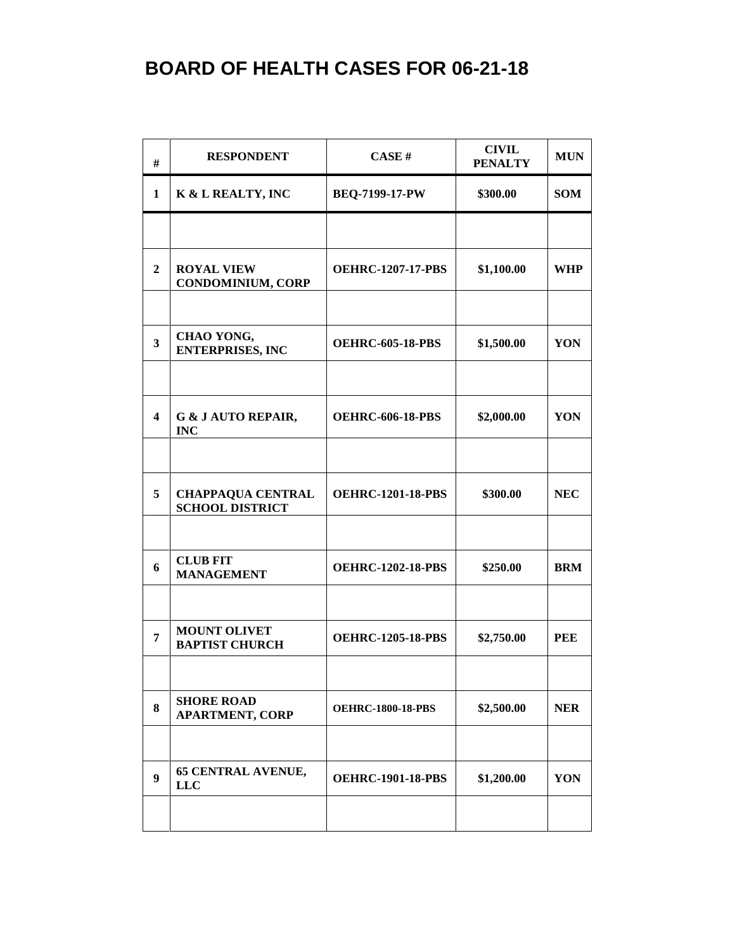| #                       | <b>RESPONDENT</b>                                  | CASE H                   | <b>CIVIL</b><br><b>PENALTY</b> | <b>MUN</b> |
|-------------------------|----------------------------------------------------|--------------------------|--------------------------------|------------|
| 1                       | K & L REALTY, INC                                  | BEQ-7199-17-PW           | \$300.00                       | <b>SOM</b> |
|                         |                                                    |                          |                                |            |
| $\mathbf{2}$            | <b>ROYAL VIEW</b><br><b>CONDOMINIUM, CORP</b>      | <b>OEHRC-1207-17-PBS</b> | \$1,100.00                     | WHP        |
|                         |                                                    |                          |                                |            |
| $\overline{\mathbf{3}}$ | CHAO YONG,<br><b>ENTERPRISES, INC</b>              | <b>OEHRC-605-18-PBS</b>  | \$1,500.00                     | YON        |
|                         |                                                    |                          |                                |            |
| $\overline{\mathbf{4}}$ | <b>G &amp; J AUTO REPAIR,</b><br><b>INC</b>        | <b>OEHRC-606-18-PBS</b>  | \$2,000.00                     | YON        |
|                         |                                                    |                          |                                |            |
| 5                       | <b>CHAPPAQUA CENTRAL</b><br><b>SCHOOL DISTRICT</b> | <b>OEHRC-1201-18-PBS</b> | \$300.00                       | <b>NEC</b> |
|                         |                                                    |                          |                                |            |
| 6                       | <b>CLUB FIT</b><br><b>MANAGEMENT</b>               | <b>OEHRC-1202-18-PBS</b> | \$250.00                       | <b>BRM</b> |
|                         |                                                    |                          |                                |            |
| 7                       | <b>MOUNT OLIVET</b><br><b>BAPTIST CHURCH</b>       | <b>OEHRC-1205-18-PBS</b> | \$2,750.00                     | <b>PEE</b> |
|                         |                                                    |                          |                                |            |
| 8                       | <b>SHORE ROAD</b><br><b>APARTMENT, CORP</b>        | <b>OEHRC-1800-18-PBS</b> | \$2,500.00                     | <b>NER</b> |
|                         |                                                    |                          |                                |            |
| 9                       | <b>65 CENTRAL AVENUE,</b><br><b>LLC</b>            | <b>OEHRC-1901-18-PBS</b> | \$1,200.00                     | YON        |
|                         |                                                    |                          |                                |            |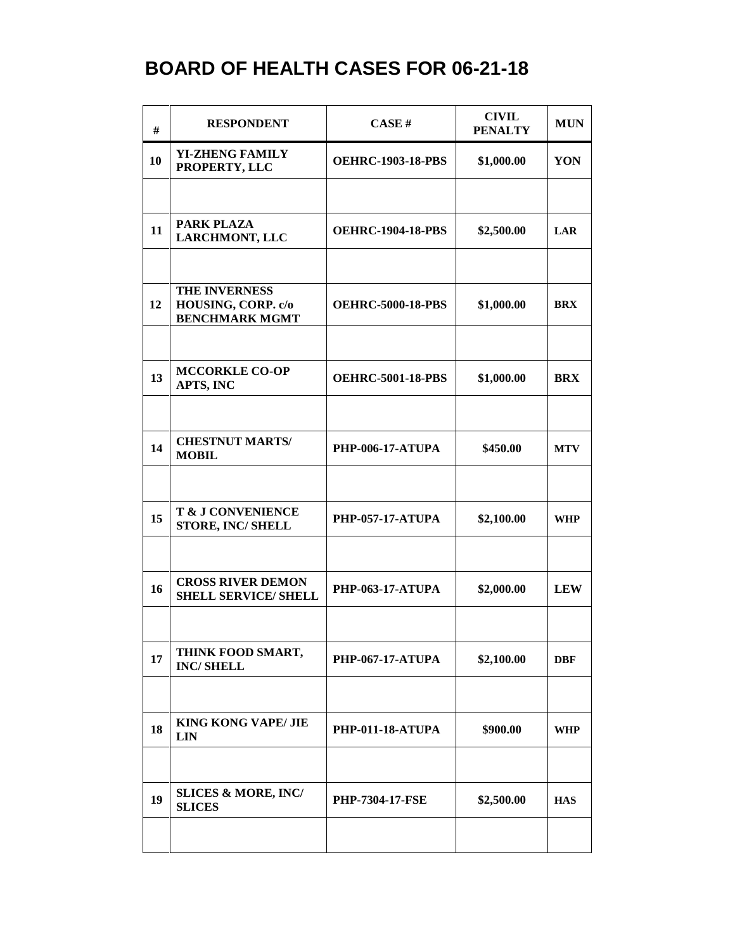| #  | <b>RESPONDENT</b>                                            | CASE#                    | <b>CIVIL</b><br><b>PENALTY</b> | <b>MUN</b> |
|----|--------------------------------------------------------------|--------------------------|--------------------------------|------------|
| 10 | <b>YI-ZHENG FAMILY</b><br>PROPERTY, LLC                      | <b>OEHRC-1903-18-PBS</b> | \$1,000.00                     | YON        |
|    |                                                              |                          |                                |            |
| 11 | PARK PLAZA<br><b>LARCHMONT, LLC</b>                          | <b>OEHRC-1904-18-PBS</b> | \$2,500.00                     | LAR        |
|    |                                                              |                          |                                |            |
| 12 | THE INVERNESS<br>HOUSING, CORP. c/o<br><b>BENCHMARK MGMT</b> | <b>OEHRC-5000-18-PBS</b> | \$1,000.00                     | <b>BRX</b> |
|    |                                                              |                          |                                |            |
| 13 | <b>MCCORKLE CO-OP</b><br>APTS, INC                           | <b>OEHRC-5001-18-PBS</b> | \$1,000.00                     | <b>BRX</b> |
|    |                                                              |                          |                                |            |
| 14 | <b>CHESTNUT MARTS/</b><br><b>MOBIL</b>                       | <b>PHP-006-17-ATUPA</b>  | \$450.00                       | <b>MTV</b> |
|    |                                                              |                          |                                |            |
| 15 | T & J CONVENIENCE<br><b>STORE, INC/ SHELL</b>                | <b>PHP-057-17-ATUPA</b>  | \$2,100.00                     | <b>WHP</b> |
|    |                                                              |                          |                                |            |
| 16 | <b>CROSS RIVER DEMON</b><br><b>SHELL SERVICE/ SHELL</b>      | <b>PHP-063-17-ATUPA</b>  | \$2,000.00                     | <b>LEW</b> |
|    |                                                              |                          |                                |            |
| 17 | THINK FOOD SMART,<br><b>INC/SHELL</b>                        | <b>PHP-067-17-ATUPA</b>  | \$2,100.00                     | <b>DBF</b> |
|    |                                                              |                          |                                |            |
| 18 | <b>KING KONG VAPE/ JIE</b><br><b>LIN</b>                     | <b>PHP-011-18-ATUPA</b>  | \$900.00                       | WHP        |
|    |                                                              |                          |                                |            |
| 19 | <b>SLICES &amp; MORE, INC/</b><br><b>SLICES</b>              | <b>PHP-7304-17-FSE</b>   | \$2,500.00                     | <b>HAS</b> |
|    |                                                              |                          |                                |            |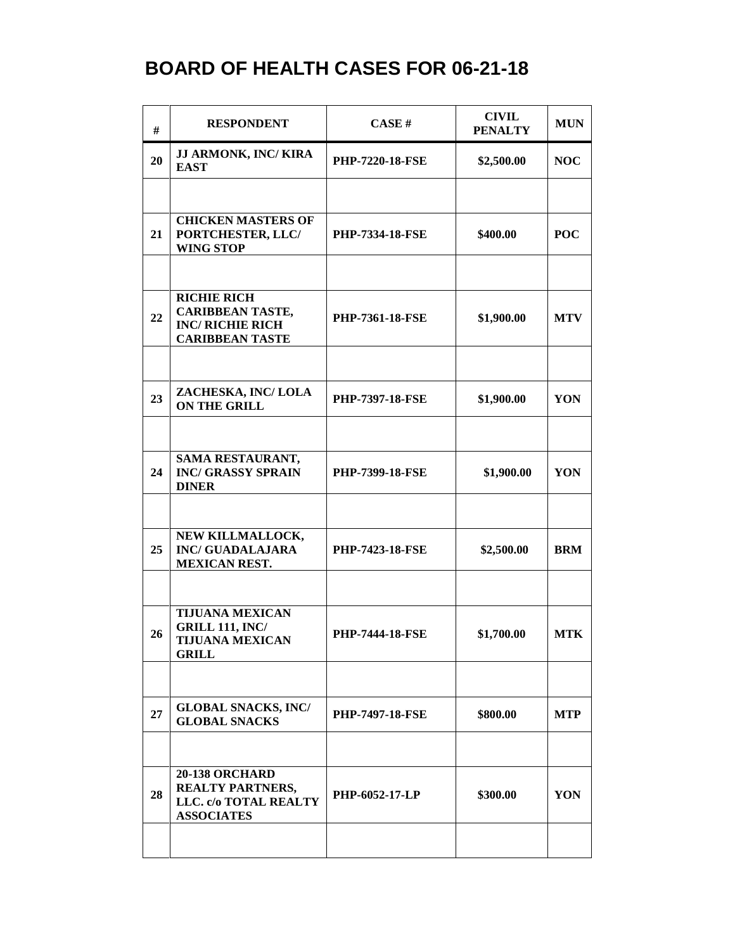| #  | <b>RESPONDENT</b>                                                                                  | CASE#                  | <b>CIVIL</b><br><b>PENALTY</b> | <b>MUN</b> |
|----|----------------------------------------------------------------------------------------------------|------------------------|--------------------------------|------------|
| 20 | JJ ARMONK, INC/KIRA<br><b>EAST</b>                                                                 | <b>PHP-7220-18-FSE</b> | \$2,500.00                     | <b>NOC</b> |
|    |                                                                                                    |                        |                                |            |
| 21 | <b>CHICKEN MASTERS OF</b><br>PORTCHESTER, LLC/<br><b>WING STOP</b>                                 | <b>PHP-7334-18-FSE</b> | \$400.00                       | <b>POC</b> |
|    |                                                                                                    |                        |                                |            |
| 22 | <b>RICHIE RICH</b><br><b>CARIBBEAN TASTE,</b><br><b>INC/ RICHIE RICH</b><br><b>CARIBBEAN TASTE</b> | <b>PHP-7361-18-FSE</b> | \$1,900.00                     | <b>MTV</b> |
|    |                                                                                                    |                        |                                |            |
| 23 | ZACHESKA, INC/ LOLA<br><b>ON THE GRILL</b>                                                         | <b>PHP-7397-18-FSE</b> | \$1,900.00                     | <b>YON</b> |
|    |                                                                                                    |                        |                                |            |
| 24 | SAMA RESTAURANT,<br><b>INC/ GRASSY SPRAIN</b><br><b>DINER</b>                                      | PHP-7399-18-FSE        | \$1,900.00                     | YON        |
|    |                                                                                                    |                        |                                |            |
| 25 | NEW KILLMALLOCK,<br><b>INC/ GUADALAJARA</b><br><b>MEXICAN REST.</b>                                | <b>PHP-7423-18-FSE</b> | \$2,500.00                     | <b>BRM</b> |
|    |                                                                                                    |                        |                                |            |
| 26 | <b>TIJUANA MEXICAN</b><br><b>GRILL 111, INC/</b><br><b>TIJUANA MEXICAN</b><br><b>GRILL</b>         | <b>PHP-7444-18-FSE</b> | \$1,700.00                     | <b>MTK</b> |
|    |                                                                                                    |                        |                                |            |
| 27 | <b>GLOBAL SNACKS, INC/</b><br><b>GLOBAL SNACKS</b>                                                 | <b>PHP-7497-18-FSE</b> | \$800.00                       | <b>MTP</b> |
|    |                                                                                                    |                        |                                |            |
| 28 | <b>20-138 ORCHARD</b><br><b>REALTY PARTNERS,</b><br>LLC. c/o TOTAL REALTY<br><b>ASSOCIATES</b>     | PHP-6052-17-LP         | \$300.00                       | YON        |
|    |                                                                                                    |                        |                                |            |